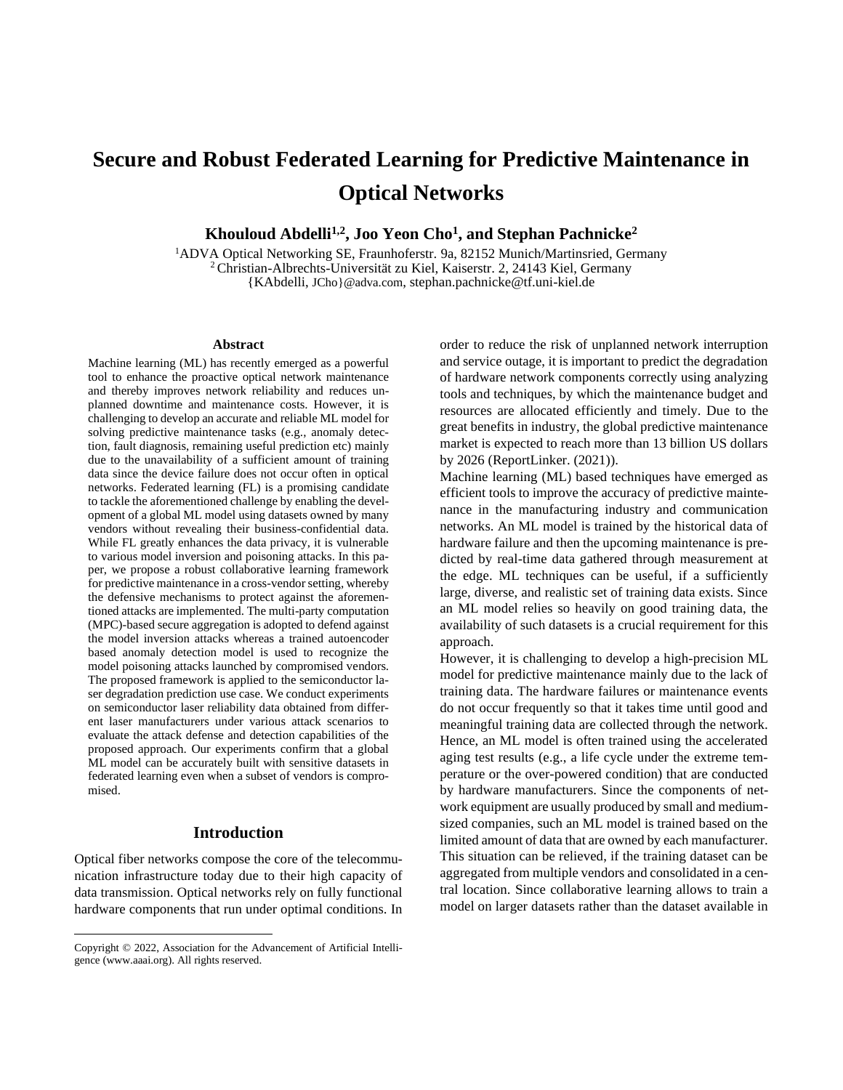# **Secure and Robust Federated Learning for Predictive Maintenance in Optical Networks**

**Khouloud Abdelli1,2 , Joo Yeon Cho<sup>1</sup> , and Stephan Pachnicke<sup>2</sup>**

<sup>1</sup>ADVA Optical Networking SE, Fraunhoferstr. 9a, 82152 Munich/Martinsried, Germany <sup>2</sup>Christian-Albrechts-Universität zu Kiel, Kaiserstr. 2, 24143 Kiel, Germany {KAbdelli, JCho}@adva.com, stephan.pachnicke@tf.uni-kiel.de

#### **Abstract**

Machine learning (ML) has recently emerged as a powerful tool to enhance the proactive optical network maintenance and thereby improves network reliability and reduces unplanned downtime and maintenance costs. However, it is challenging to develop an accurate and reliable ML model for solving predictive maintenance tasks (e.g., anomaly detection, fault diagnosis, remaining useful prediction etc) mainly due to the unavailability of a sufficient amount of training data since the device failure does not occur often in optical networks. Federated learning (FL) is a promising candidate to tackle the aforementioned challenge by enabling the development of a global ML model using datasets owned by many vendors without revealing their business-confidential data. While FL greatly enhances the data privacy, it is vulnerable to various model inversion and poisoning attacks. In this paper, we propose a robust collaborative learning framework for predictive maintenance in a cross-vendor setting, whereby the defensive mechanisms to protect against the aforementioned attacks are implemented. The multi-party computation (MPC)-based secure aggregation is adopted to defend against the model inversion attacks whereas a trained autoencoder based anomaly detection model is used to recognize the model poisoning attacks launched by compromised vendors. The proposed framework is applied to the semiconductor laser degradation prediction use case. We conduct experiments on semiconductor laser reliability data obtained from different laser manufacturers under various attack scenarios to evaluate the attack defense and detection capabilities of the proposed approach. Our experiments confirm that a global ML model can be accurately built with sensitive datasets in federated learning even when a subset of vendors is compromised.

## **Introduction**

Optical fiber networks compose the core of the telecommunication infrastructure today due to their high capacity of data transmission. Optical networks rely on fully functional hardware components that run under optimal conditions. In

order to reduce the risk of unplanned network interruption and service outage, it is important to predict the degradation of hardware network components correctly using analyzing tools and techniques, by which the maintenance budget and resources are allocated efficiently and timely. Due to the great benefits in industry, the global predictive maintenance market is expected to reach more than 13 billion US dollars by 2026 (ReportLinker. (2021)).

Machine learning (ML) based techniques have emerged as efficient tools to improve the accuracy of predictive maintenance in the manufacturing industry and communication networks. An ML model is trained by the historical data of hardware failure and then the upcoming maintenance is predicted by real-time data gathered through measurement at the edge. ML techniques can be useful, if a sufficiently large, diverse, and realistic set of training data exists. Since an ML model relies so heavily on good training data, the availability of such datasets is a crucial requirement for this approach.

However, it is challenging to develop a high-precision ML model for predictive maintenance mainly due to the lack of training data. The hardware failures or maintenance events do not occur frequently so that it takes time until good and meaningful training data are collected through the network. Hence, an ML model is often trained using the accelerated aging test results (e.g., a life cycle under the extreme temperature or the over-powered condition) that are conducted by hardware manufacturers. Since the components of network equipment are usually produced by small and mediumsized companies, such an ML model is trained based on the limited amount of data that are owned by each manufacturer. This situation can be relieved, if the training dataset can be aggregated from multiple vendors and consolidated in a central location. Since collaborative learning allows to train a model on larger datasets rather than the dataset available in

Copyright © 2022, Association for the Advancement of Artificial Intelligence (www.aaai.org). All rights reserved.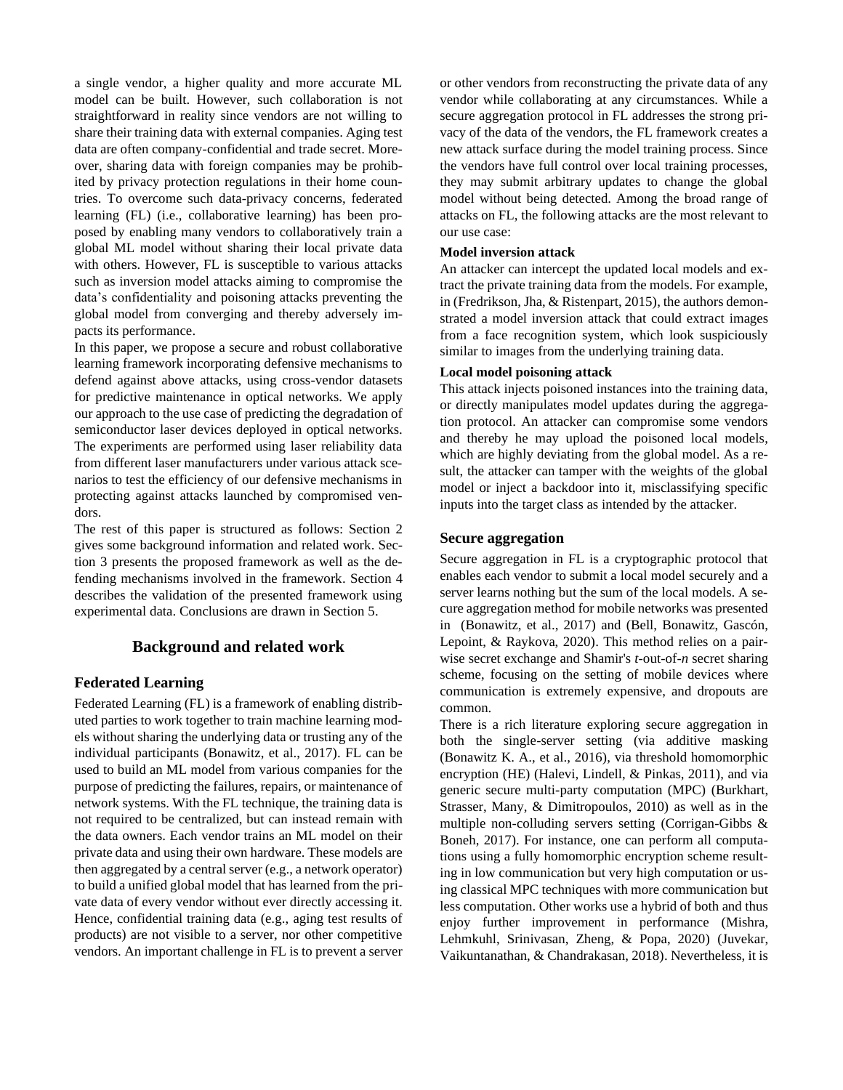a single vendor, a higher quality and more accurate ML model can be built. However, such collaboration is not straightforward in reality since vendors are not willing to share their training data with external companies. Aging test data are often company-confidential and trade secret. Moreover, sharing data with foreign companies may be prohibited by privacy protection regulations in their home countries. To overcome such data-privacy concerns, federated learning (FL) (i.e., collaborative learning) has been proposed by enabling many vendors to collaboratively train a global ML model without sharing their local private data with others. However, FL is susceptible to various attacks such as inversion model attacks aiming to compromise the data's confidentiality and poisoning attacks preventing the global model from converging and thereby adversely impacts its performance.

In this paper, we propose a secure and robust collaborative learning framework incorporating defensive mechanisms to defend against above attacks, using cross-vendor datasets for predictive maintenance in optical networks. We apply our approach to the use case of predicting the degradation of semiconductor laser devices deployed in optical networks. The experiments are performed using laser reliability data from different laser manufacturers under various attack scenarios to test the efficiency of our defensive mechanisms in protecting against attacks launched by compromised vendors.

The rest of this paper is structured as follows: Section 2 gives some background information and related work. Section 3 presents the proposed framework as well as the defending mechanisms involved in the framework. Section 4 describes the validation of the presented framework using experimental data. Conclusions are drawn in Section 5.

## **Background and related work**

## **Federated Learning**

Federated Learning (FL) is a framework of enabling distributed parties to work together to train machine learning models without sharing the underlying data or trusting any of the individual participants (Bonawitz, et al., 2017). FL can be used to build an ML model from various companies for the purpose of predicting the failures, repairs, or maintenance of network systems. With the FL technique, the training data is not required to be centralized, but can instead remain with the data owners. Each vendor trains an ML model on their private data and using their own hardware. These models are then aggregated by a central server (e.g., a network operator) to build a unified global model that has learned from the private data of every vendor without ever directly accessing it. Hence, confidential training data (e.g., aging test results of products) are not visible to a server, nor other competitive vendors. An important challenge in FL is to prevent a server or other vendors from reconstructing the private data of any vendor while collaborating at any circumstances. While a secure aggregation protocol in FL addresses the strong privacy of the data of the vendors, the FL framework creates a new attack surface during the model training process. Since the vendors have full control over local training processes, they may submit arbitrary updates to change the global model without being detected. Among the broad range of attacks on FL, the following attacks are the most relevant to our use case:

#### **Model inversion attack**

An attacker can intercept the updated local models and extract the private training data from the models. For example, in (Fredrikson, Jha, & Ristenpart, 2015), the authors demonstrated a model inversion attack that could extract images from a face recognition system, which look suspiciously similar to images from the underlying training data.

## **Local model poisoning attack**

This attack injects poisoned instances into the training data, or directly manipulates model updates during the aggregation protocol. An attacker can compromise some vendors and thereby he may upload the poisoned local models, which are highly deviating from the global model. As a result, the attacker can tamper with the weights of the global model or inject a backdoor into it, misclassifying specific inputs into the target class as intended by the attacker.

## **Secure aggregation**

Secure aggregation in FL is a cryptographic protocol that enables each vendor to submit a local model securely and a server learns nothing but the sum of the local models. A secure aggregation method for mobile networks was presented in (Bonawitz, et al., 2017) and (Bell, Bonawitz, Gascón, Lepoint, & Raykova, 2020). This method relies on a pairwise secret exchange and Shamir's *t*-out-of-*n* secret sharing scheme, focusing on the setting of mobile devices where communication is extremely expensive, and dropouts are common.

There is a rich literature exploring secure aggregation in both the single-server setting (via additive masking (Bonawitz K. A., et al., 2016), via threshold homomorphic encryption (HE) (Halevi, Lindell, & Pinkas, 2011), and via generic secure multi-party computation (MPC) (Burkhart, Strasser, Many, & Dimitropoulos, 2010) as well as in the multiple non-colluding servers setting (Corrigan-Gibbs & Boneh, 2017). For instance, one can perform all computations using a fully homomorphic encryption scheme resulting in low communication but very high computation or using classical MPC techniques with more communication but less computation. Other works use a hybrid of both and thus enjoy further improvement in performance (Mishra, Lehmkuhl, Srinivasan, Zheng, & Popa, 2020) (Juvekar, Vaikuntanathan, & Chandrakasan, 2018). Nevertheless, it is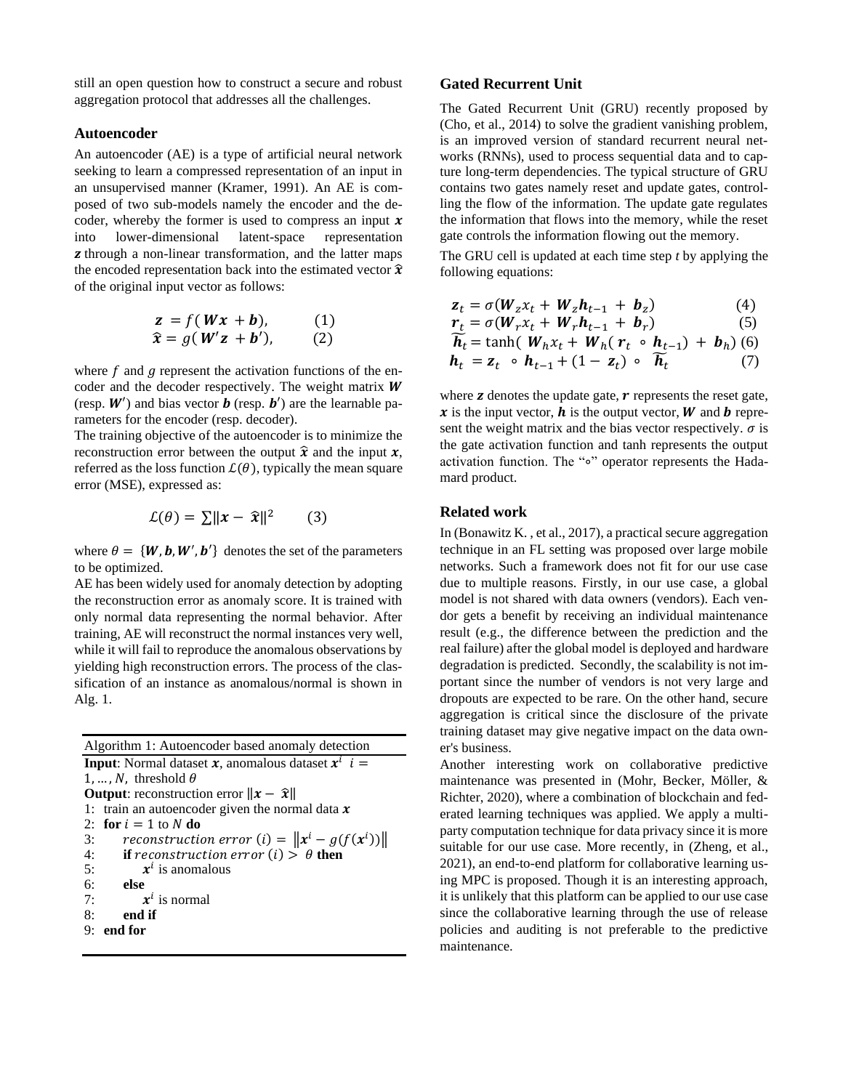still an open question how to construct a secure and robust aggregation protocol that addresses all the challenges.

## **Autoencoder**

An autoencoder (AE) is a type of artificial neural network seeking to learn a compressed representation of an input in an unsupervised manner (Kramer, 1991). An AE is composed of two sub-models namely the encoder and the decoder, whereby the former is used to compress an input  $x$ into lower-dimensional latent-space representation **z** through a non-linear transformation, and the latter maps the encoded representation back into the estimated vector  $\hat{x}$ of the original input vector as follows:

$$
\mathbf{z} = f(\mathbf{W}\mathbf{x} + \mathbf{b}), \qquad (1)
$$
  

$$
\hat{\mathbf{x}} = g(\mathbf{W}'\mathbf{z} + \mathbf{b}'), \qquad (2)
$$

where  $f$  and  $g$  represent the activation functions of the encoder and the decoder respectively. The weight matrix  $W$ (resp.  $W'$ ) and bias vector **b** (resp. **b'**) are the learnable parameters for the encoder (resp. decoder).

The training objective of the autoencoder is to minimize the reconstruction error between the output  $\hat{x}$  and the input  $x$ , referred as the loss function  $\mathcal{L}(\theta)$ , typically the mean square error (MSE), expressed as:

$$
\mathcal{L}(\theta) = \sum ||x - \hat{x}||^2 \qquad (3)
$$

where  $\theta = \{W, b, W', b'\}$  denotes the set of the parameters to be optimized.

AE has been widely used for anomaly detection by adopting the reconstruction error as anomaly score. It is trained with only normal data representing the normal behavior. After training, AE will reconstruct the normal instances very well, while it will fail to reproduce the anomalous observations by yielding high reconstruction errors. The process of the classification of an instance as anomalous/normal is shown in Alg. 1.

| Algorithm 1: Autoencoder based anomaly detection                                      |
|---------------------------------------------------------------------------------------|
| <b>Input:</b> Normal dataset <b>x</b> , anomalous dataset $\overline{x}^i$ <b>i</b> = |
| 1, , N, threshold $\theta$                                                            |
| <b>Output:</b> reconstruction error $\Vert x - \hat{x} \Vert$                         |
| 1: train an autoencoder given the normal data $x$                                     |
| 2: for $i = 1$ to N do                                                                |
| reconstruction error (i) = $\ \mathbf{x}^i - g(f(\mathbf{x}^i))\ $<br>3:              |
| 4:<br><b>if</b> reconstruction error (i) $\frac{\partial}{\partial \theta}$ then      |
| 5:<br>$x^{i}$ is anomalous                                                            |
| 6:<br>- else                                                                          |
| $x^i$ is normal<br>7:                                                                 |
| 8:<br>end if                                                                          |
| 9:<br>end for                                                                         |

## **Gated Recurrent Unit**

The Gated Recurrent Unit (GRU) recently proposed by (Cho, et al., 2014) to solve the gradient vanishing problem, is an improved version of standard recurrent neural networks (RNNs), used to process sequential data and to capture long-term dependencies. The typical structure of GRU contains two gates namely reset and update gates, controlling the flow of the information. The update gate regulates the information that flows into the memory, while the reset gate controls the information flowing out the memory.

The GRU cell is updated at each time step *t* by applying the following equations:

$$
\mathbf{z}_t = \sigma(\boldsymbol{W}_z \boldsymbol{x}_t + \boldsymbol{W}_z \boldsymbol{h}_{t-1} + \boldsymbol{b}_z) \tag{4}
$$

$$
r_t = \sigma(W_r x_t + W_r h_{t-1} + b_r)
$$
\n(5)

$$
\widetilde{\boldsymbol{h}}_t = \tanh(\boldsymbol{W}_h \boldsymbol{x}_t + \boldsymbol{W}_h (\boldsymbol{r}_t \circ \boldsymbol{h}_{t-1}) + \boldsymbol{b}_h) \tag{6} \n\boldsymbol{h}_t = \boldsymbol{z}_t \circ \boldsymbol{h}_{t-1} + (1 - \boldsymbol{z}_t) \circ \widetilde{\boldsymbol{h}}_t \tag{7}
$$

where  $\boldsymbol{z}$  denotes the update gate,  $\boldsymbol{r}$  represents the reset gate,  $\boldsymbol{x}$  is the input vector,  $\boldsymbol{h}$  is the output vector,  $\boldsymbol{W}$  and  $\boldsymbol{b}$  represent the weight matrix and the bias vector respectively.  $\sigma$  is the gate activation function and tanh represents the output activation function. The "∘" operator represents the Hadamard product.

### **Related work**

In (Bonawitz K. , et al., 2017), a practical secure aggregation technique in an FL setting was proposed over large mobile networks. Such a framework does not fit for our use case due to multiple reasons. Firstly, in our use case, a global model is not shared with data owners (vendors). Each vendor gets a benefit by receiving an individual maintenance result (e.g., the difference between the prediction and the real failure) after the global model is deployed and hardware degradation is predicted. Secondly, the scalability is not important since the number of vendors is not very large and dropouts are expected to be rare. On the other hand, secure aggregation is critical since the disclosure of the private training dataset may give negative impact on the data owner's business.

Another interesting work on collaborative predictive maintenance was presented in (Mohr, Becker, Möller, & Richter, 2020), where a combination of blockchain and federated learning techniques was applied. We apply a multiparty computation technique for data privacy since it is more suitable for our use case. More recently, in (Zheng, et al., 2021), an end-to-end platform for collaborative learning using MPC is proposed. Though it is an interesting approach, it is unlikely that this platform can be applied to our use case since the collaborative learning through the use of release policies and auditing is not preferable to the predictive maintenance.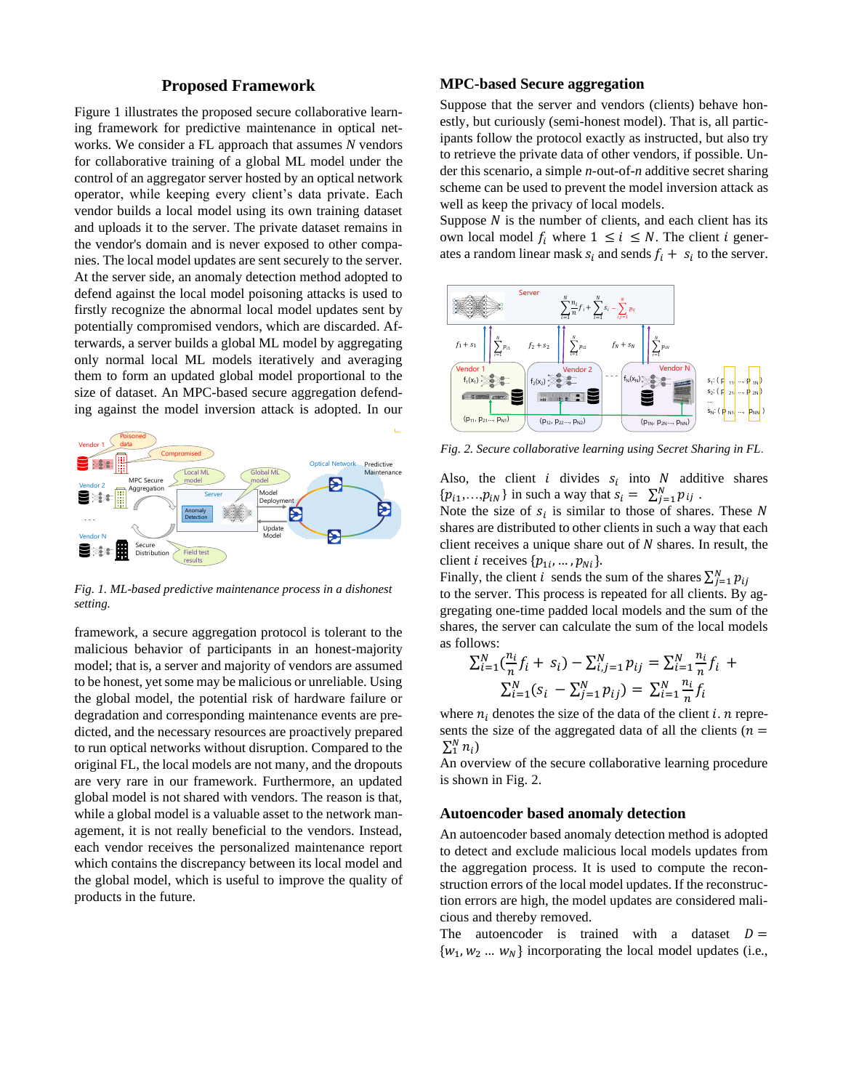## **Proposed Framework**

Figure 1 illustrates the proposed secure collaborative learning framework for predictive maintenance in optical networks. We consider a FL approach that assumes *N* vendors for collaborative training of a global ML model under the control of an aggregator server hosted by an optical network operator, while keeping every client's data private. Each vendor builds a local model using its own training dataset and uploads it to the server. The private dataset remains in the vendor's domain and is never exposed to other companies. The local model updates are sent securely to the server. At the server side, an anomaly detection method adopted to defend against the local model poisoning attacks is used to firstly recognize the abnormal local model updates sent by potentially compromised vendors, which are discarded. Afterwards, a server builds a global ML model by aggregating only normal local ML models iteratively and averaging them to form an updated global model proportional to the size of dataset. An MPC-based secure aggregation defending against the model inversion attack is adopted. In our



 *Fig. 1. ML-based predictive maintenance process in a dishonest setting.*

framework, a secure aggregation protocol is tolerant to the malicious behavior of participants in an honest-majority model; that is, a server and majority of vendors are assumed to be honest, yet some may be malicious or unreliable. Using the global model, the potential risk of hardware failure or degradation and corresponding maintenance events are predicted, and the necessary resources are proactively prepared to run optical networks without disruption. Compared to the original FL, the local models are not many, and the dropouts are very rare in our framework. Furthermore, an updated global model is not shared with vendors. The reason is that, while a global model is a valuable asset to the network management, it is not really beneficial to the vendors. Instead, each vendor receives the personalized maintenance report which contains the discrepancy between its local model and the global model, which is useful to improve the quality of products in the future.

## **MPC-based Secure aggregation**

Suppose that the server and vendors (clients) behave honestly, but curiously (semi-honest model). That is, all participants follow the protocol exactly as instructed, but also try to retrieve the private data of other vendors, if possible. Under this scenario, a simple *n*-out-of-*n* additive secret sharing scheme can be used to prevent the model inversion attack as well as keep the privacy of local models.

Suppose  $N$  is the number of clients, and each client has its own local model  $f_i$  where  $1 \le i \le N$ . The client *i* generates a random linear mask  $s_i$  and sends  $f_i + s_i$  to the server.



*Fig. 2. Secure collaborative learning using Secret Sharing in FL.*

Also, the client *i* divides  $s_i$  into *N* additive shares  $\{p_{i1},...,p_{iN}\}\$ in such a way that  $s_i = \sum_{j=1}^{N} p_{ij}$ .

Note the size of  $s_i$  is similar to those of shares. These N shares are distributed to other clients in such a way that each client receives a unique share out of  $N$  shares. In result, the client *i* receives  $\{p_{1i}, ..., p_{Ni}\}.$ 

Finally, the client *i* sends the sum of the shares  $\sum_{j=1}^{N} p_{ij}$ to the server. This process is repeated for all clients. By aggregating one-time padded local models and the sum of the shares, the server can calculate the sum of the local models as follows:

$$
\sum_{i=1}^{N} (\frac{n_i}{n} f_i + s_i) - \sum_{i,j=1}^{N} p_{ij} = \sum_{i=1}^{N} \frac{n_i}{n} f_i + \sum_{i=1}^{N} (s_i - \sum_{j=1}^{N} p_{ij}) = \sum_{i=1}^{N} \frac{n_i}{n} f_i
$$

where  $n_i$  denotes the size of the data of the client i. *n* represents the size of the aggregated data of all the clients ( $n =$  $\sum_1^N n_i$ 

An overview of the secure collaborative learning procedure is shown in Fig. 2.

#### **Autoencoder based anomaly detection**

An autoencoder based anomaly detection method is adopted to detect and exclude malicious local models updates from the aggregation process. It is used to compute the reconstruction errors of the local model updates. If the reconstruction errors are high, the model updates are considered malicious and thereby removed.

The autoencoder is trained with a dataset  $D =$  $\{w_1, w_2, \ldots, w_N\}$  incorporating the local model updates (i.e.,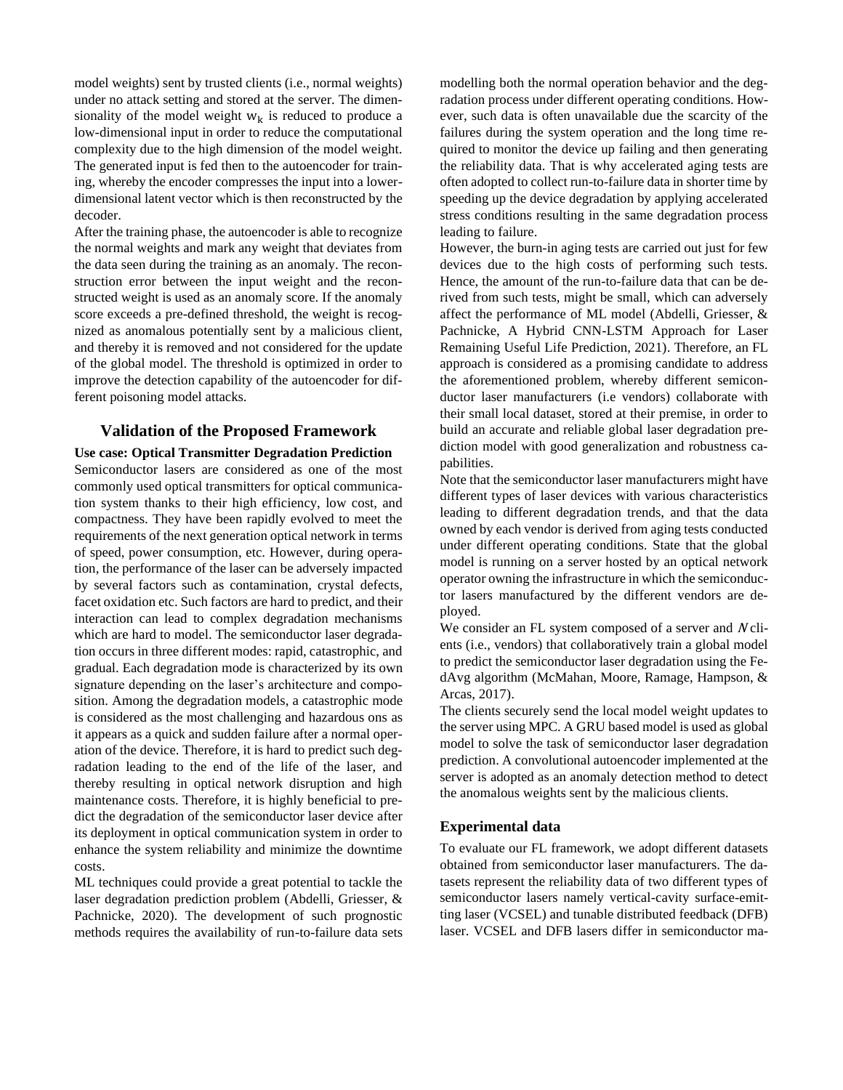model weights) sent by trusted clients (i.e., normal weights) under no attack setting and stored at the server. The dimensionality of the model weight  $w_k$  is reduced to produce a low-dimensional input in order to reduce the computational complexity due to the high dimension of the model weight. The generated input is fed then to the autoencoder for training, whereby the encoder compresses the input into a lowerdimensional latent vector which is then reconstructed by the decoder.

After the training phase, the autoencoder is able to recognize the normal weights and mark any weight that deviates from the data seen during the training as an anomaly. The reconstruction error between the input weight and the reconstructed weight is used as an anomaly score. If the anomaly score exceeds a pre-defined threshold, the weight is recognized as anomalous potentially sent by a malicious client, and thereby it is removed and not considered for the update of the global model. The threshold is optimized in order to improve the detection capability of the autoencoder for different poisoning model attacks.

## **Validation of the Proposed Framework**

**Use case: Optical Transmitter Degradation Prediction** Semiconductor lasers are considered as one of the most commonly used optical transmitters for optical communication system thanks to their high efficiency, low cost, and compactness. They have been rapidly evolved to meet the requirements of the next generation optical network in terms of speed, power consumption, etc. However, during operation, the performance of the laser can be adversely impacted by several factors such as contamination, crystal defects, facet oxidation etc. Such factors are hard to predict, and their interaction can lead to complex degradation mechanisms which are hard to model. The semiconductor laser degradation occurs in three different modes: rapid, catastrophic, and gradual. Each degradation mode is characterized by its own signature depending on the laser's architecture and composition. Among the degradation models, a catastrophic mode is considered as the most challenging and hazardous ons as it appears as a quick and sudden failure after a normal operation of the device. Therefore, it is hard to predict such degradation leading to the end of the life of the laser, and thereby resulting in optical network disruption and high maintenance costs. Therefore, it is highly beneficial to predict the degradation of the semiconductor laser device after its deployment in optical communication system in order to enhance the system reliability and minimize the downtime costs.

ML techniques could provide a great potential to tackle the laser degradation prediction problem (Abdelli, Griesser, & Pachnicke, 2020). The development of such prognostic methods requires the availability of run-to-failure data sets modelling both the normal operation behavior and the degradation process under different operating conditions. However, such data is often unavailable due the scarcity of the failures during the system operation and the long time required to monitor the device up failing and then generating the reliability data. That is why accelerated aging tests are often adopted to collect run-to-failure data in shorter time by speeding up the device degradation by applying accelerated stress conditions resulting in the same degradation process leading to failure.

However, the burn-in aging tests are carried out just for few devices due to the high costs of performing such tests. Hence, the amount of the run-to-failure data that can be derived from such tests, might be small, which can adversely affect the performance of ML model (Abdelli, Griesser, & Pachnicke, A Hybrid CNN-LSTM Approach for Laser Remaining Useful Life Prediction, 2021). Therefore, an FL approach is considered as a promising candidate to address the aforementioned problem, whereby different semiconductor laser manufacturers (i.e vendors) collaborate with their small local dataset, stored at their premise, in order to build an accurate and reliable global laser degradation prediction model with good generalization and robustness capabilities.

Note that the semiconductor laser manufacturers might have different types of laser devices with various characteristics leading to different degradation trends, and that the data owned by each vendor is derived from aging tests conducted under different operating conditions. State that the global model is running on a server hosted by an optical network operator owning the infrastructure in which the semiconductor lasers manufactured by the different vendors are deployed.

We consider an FL system composed of a server and  $N$  clients (i.e., vendors) that collaboratively train a global model to predict the semiconductor laser degradation using the FedAvg algorithm (McMahan, Moore, Ramage, Hampson, & Arcas, 2017).

The clients securely send the local model weight updates to the server using MPC. A GRU based model is used as global model to solve the task of semiconductor laser degradation prediction. A convolutional autoencoder implemented at the server is adopted as an anomaly detection method to detect the anomalous weights sent by the malicious clients.

### **Experimental data**

To evaluate our FL framework, we adopt different datasets obtained from semiconductor laser manufacturers. The datasets represent the reliability data of two different types of semiconductor lasers namely vertical-cavity surface-emitting laser (VCSEL) and tunable distributed feedback (DFB) laser. VCSEL and DFB lasers differ in semiconductor ma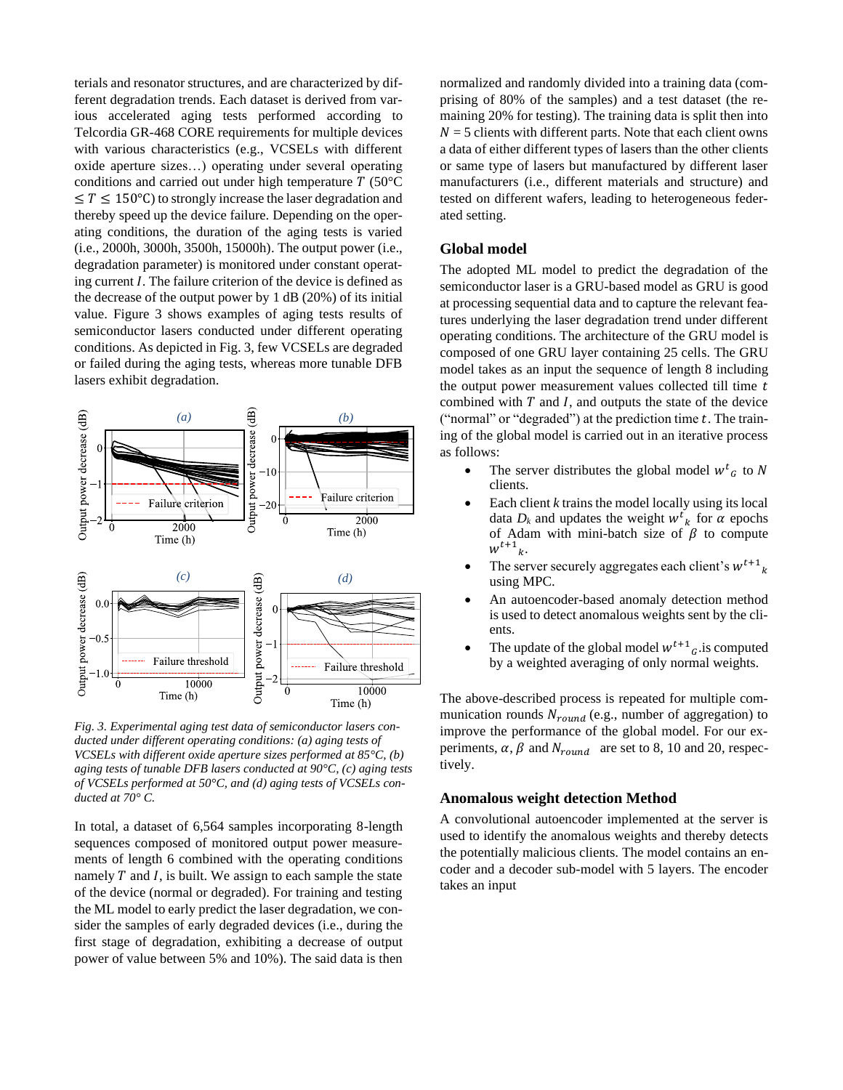terials and resonator structures, and are characterized by different degradation trends. Each dataset is derived from various accelerated aging tests performed according to Telcordia GR-468 CORE requirements for multiple devices with various characteristics (e.g., VCSELs with different oxide aperture sizes…) operating under several operating conditions and carried out under high temperature  $T$  (50 $^{\circ}$ C)  $\leq T \leq 150^{\circ}$ C) to strongly increase the laser degradation and thereby speed up the device failure. Depending on the operating conditions, the duration of the aging tests is varied (i.e., 2000h, 3000h, 3500h, 15000h). The output power (i.e., degradation parameter) is monitored under constant operating current  $I$ . The failure criterion of the device is defined as the decrease of the output power by 1 dB (20%) of its initial value. Figure 3 shows examples of aging tests results of semiconductor lasers conducted under different operating conditions. As depicted in Fig. 3, few VCSELs are degraded or failed during the aging tests, whereas more tunable DFB lasers exhibit degradation.



*Fig. 3. Experimental aging test data of semiconductor lasers conducted under different operating conditions: (a) aging tests of VCSELs with different oxide aperture sizes performed at 85°C, (b) aging tests of tunable DFB lasers conducted at 90°C, (c) aging tests of VCSELs performed at 50°C, and (d) aging tests of VCSELs conducted at 70° C.*

In total, a dataset of 6,564 samples incorporating 8-length sequences composed of monitored output power measurements of length 6 combined with the operating conditions namely  $T$  and  $I$ , is built. We assign to each sample the state of the device (normal or degraded). For training and testing the ML model to early predict the laser degradation, we consider the samples of early degraded devices (i.e., during the first stage of degradation, exhibiting a decrease of output power of value between 5% and 10%). The said data is then

normalized and randomly divided into a training data (comprising of 80% of the samples) and a test dataset (the remaining 20% for testing). The training data is split then into  $N = 5$  clients with different parts. Note that each client owns a data of either different types of lasers than the other clients or same type of lasers but manufactured by different laser manufacturers (i.e., different materials and structure) and tested on different wafers, leading to heterogeneous federated setting.

## **Global model**

The adopted ML model to predict the degradation of the semiconductor laser is a GRU-based model as GRU is good at processing sequential data and to capture the relevant features underlying the laser degradation trend under different operating conditions. The architecture of the GRU model is composed of one GRU layer containing 25 cells. The GRU model takes as an input the sequence of length 8 including the output power measurement values collected till time  $t$ combined with  $T$  and  $I$ , and outputs the state of the device ("normal" or "degraded") at the prediction time  $t$ . The training of the global model is carried out in an iterative process as follows:

- The server distributes the global model  $w^t$ <sub>G</sub> to N clients.
- Each client *k* trains the model locally using its local data  $D_k$  and updates the weight  $w^t$ <sub>k</sub> for  $\alpha$  epochs of Adam with mini-batch size of  $\beta$  to compute  $w^{t+1}$ <sub>k</sub>.
- The server securely aggregates each client's  $w^{t+1}$ <sub>k</sub> using MPC.
- An autoencoder-based anomaly detection method is used to detect anomalous weights sent by the clients.
- The update of the global model  $w^{t+1}$ <sub>G</sub> is computed by a weighted averaging of only normal weights.

The above-described process is repeated for multiple communication rounds  $N_{round}$  (e.g., number of aggregation) to improve the performance of the global model. For our experiments,  $\alpha$ ,  $\beta$  and  $N_{round}$  are set to 8, 10 and 20, respectively.

#### **Anomalous weight detection Method**

A convolutional autoencoder implemented at the server is used to identify the anomalous weights and thereby detects the potentially malicious clients. The model contains an encoder and a decoder sub-model with 5 layers. The encoder takes an input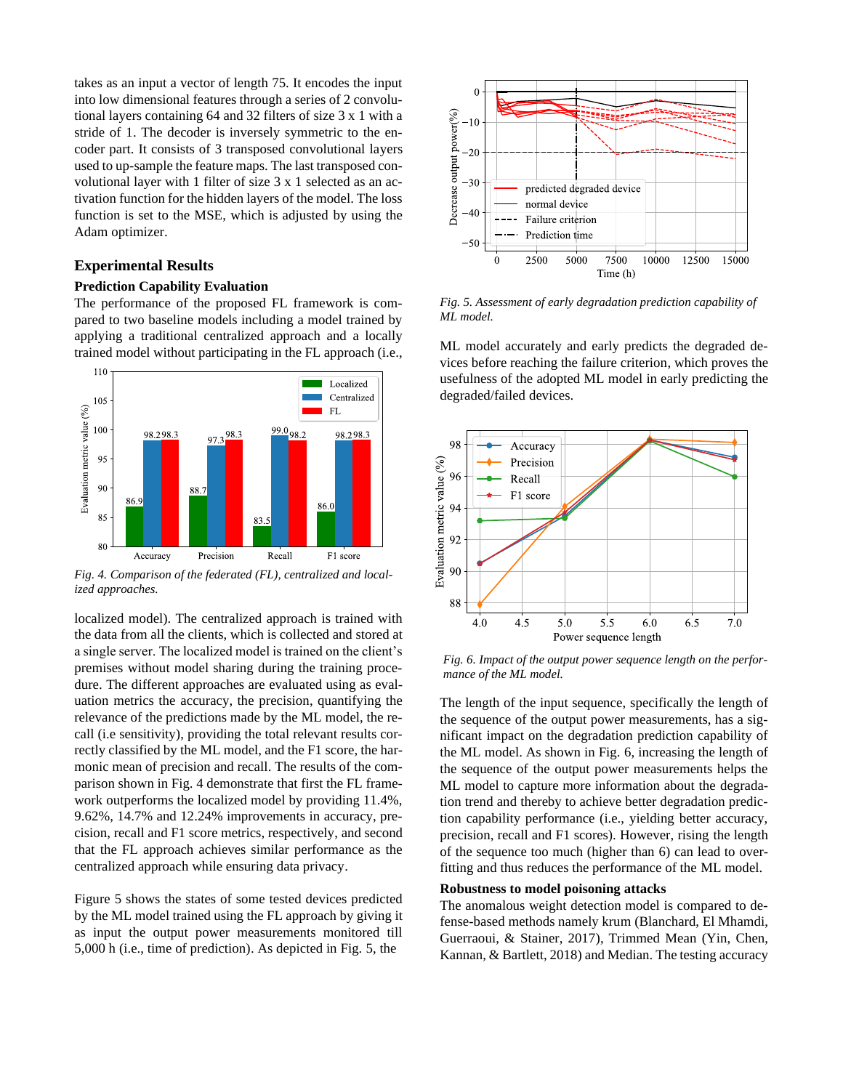takes as an input a vector of length 75. It encodes the input into low dimensional features through a series of 2 convolutional layers containing 64 and 32 filters of size 3 x 1 with a stride of 1. The decoder is inversely symmetric to the encoder part. It consists of 3 transposed convolutional layers used to up-sample the feature maps. The last transposed convolutional layer with 1 filter of size 3 x 1 selected as an activation function for the hidden layers of the model. The loss function is set to the MSE, which is adjusted by using the Adam optimizer.

## **Experimental Results**

#### **Prediction Capability Evaluation**

The performance of the proposed FL framework is compared to two baseline models including a model trained by applying a traditional centralized approach and a locally trained model without participating in the FL approach (i.e.,



*Fig. 4. Comparison of the federated (FL), centralized and localized approaches.*

localized model). The centralized approach is trained with the data from all the clients, which is collected and stored at a single server. The localized model is trained on the client's premises without model sharing during the training procedure. The different approaches are evaluated using as evaluation metrics the accuracy, the precision, quantifying the relevance of the predictions made by the ML model, the recall (i.e sensitivity), providing the total relevant results correctly classified by the ML model, and the F1 score, the harmonic mean of precision and recall. The results of the comparison shown in Fig. 4 demonstrate that first the FL framework outperforms the localized model by providing 11.4%, 9.62%, 14.7% and 12.24% improvements in accuracy, precision, recall and F1 score metrics, respectively, and second that the FL approach achieves similar performance as the centralized approach while ensuring data privacy.

Figure 5 shows the states of some tested devices predicted by the ML model trained using the FL approach by giving it as input the output power measurements monitored till 5,000 h (i.e., time of prediction). As depicted in Fig. 5, the



*Fig. 5. Assessment of early degradation prediction capability of ML model.*

ML model accurately and early predicts the degraded devices before reaching the failure criterion, which proves the usefulness of the adopted ML model in early predicting the degraded/failed devices.



*Fig. 6. Impact of the output power sequence length on the performance of the ML model.*

The length of the input sequence, specifically the length of the sequence of the output power measurements, has a significant impact on the degradation prediction capability of the ML model. As shown in Fig. 6, increasing the length of the sequence of the output power measurements helps the ML model to capture more information about the degradation trend and thereby to achieve better degradation prediction capability performance (i.e., yielding better accuracy, precision, recall and F1 scores). However, rising the length of the sequence too much (higher than 6) can lead to overfitting and thus reduces the performance of the ML model.

#### **Robustness to model poisoning attacks**

The anomalous weight detection model is compared to defense-based methods namely krum (Blanchard, El Mhamdi, Guerraoui, & Stainer, 2017), Trimmed Mean (Yin, Chen, Kannan, & Bartlett, 2018) and Median. The testing accuracy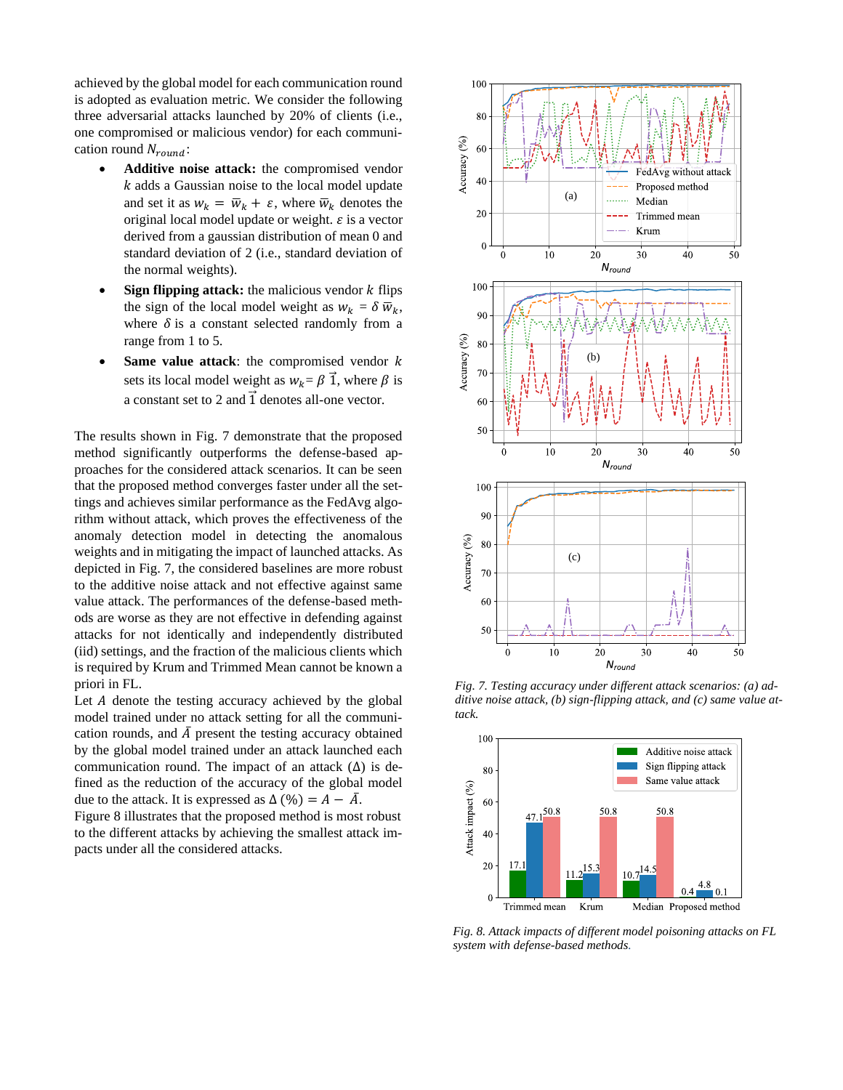achieved by the global model for each communication round is adopted as evaluation metric. We consider the following three adversarial attacks launched by 20% of clients (i.e., one compromised or malicious vendor) for each communication round  $N_{round}$ :

- **Additive noise attack:** the compromised vendor  $k$  adds a Gaussian noise to the local model update and set it as  $w_k = \overline{w}_k + \varepsilon$ , where  $\overline{w}_k$  denotes the original local model update or weight.  $\varepsilon$  is a vector derived from a gaussian distribution of mean 0 and standard deviation of 2 (i.e., standard deviation of the normal weights).
- **Sign flipping attack:** the malicious vendor  $k$  flips the sign of the local model weight as  $w_k = \delta \overline{w}_k$ , where  $\delta$  is a constant selected randomly from a range from 1 to 5.
- **Same value attack:** the compromised vendor  $k$ sets its local model weight as  $w_k = \beta \vec{1}$ , where  $\beta$  is a constant set to 2 and  $\vec{1}$  denotes all-one vector.

The results shown in Fig. 7 demonstrate that the proposed method significantly outperforms the defense-based approaches for the considered attack scenarios. It can be seen that the proposed method converges faster under all the settings and achieves similar performance as the FedAvg algorithm without attack, which proves the effectiveness of the anomaly detection model in detecting the anomalous weights and in mitigating the impact of launched attacks. As depicted in Fig. 7, the considered baselines are more robust to the additive noise attack and not effective against same value attack. The performances of the defense-based methods are worse as they are not effective in defending against attacks for not identically and independently distributed (iid) settings, and the fraction of the malicious clients which is required by Krum and Trimmed Mean cannot be known a priori in FL.

Let A denote the testing accuracy achieved by the global model trained under no attack setting for all the communication rounds, and  $\overline{A}$  present the testing accuracy obtained by the global model trained under an attack launched each communication round. The impact of an attack  $(\Delta)$  is defined as the reduction of the accuracy of the global model due to the attack. It is expressed as  $\Delta(\% ) = A - \overline{A}$ .

Figure 8 illustrates that the proposed method is most robust to the different attacks by achieving the smallest attack impacts under all the considered attacks.



*Fig. 7. Testing accuracy under different attack scenarios: (a) additive noise attack, (b) sign-flipping attack, and (c) same value attack.*



*Fig. 8. Attack impacts of different model poisoning attacks on FL system with defense-based methods.*